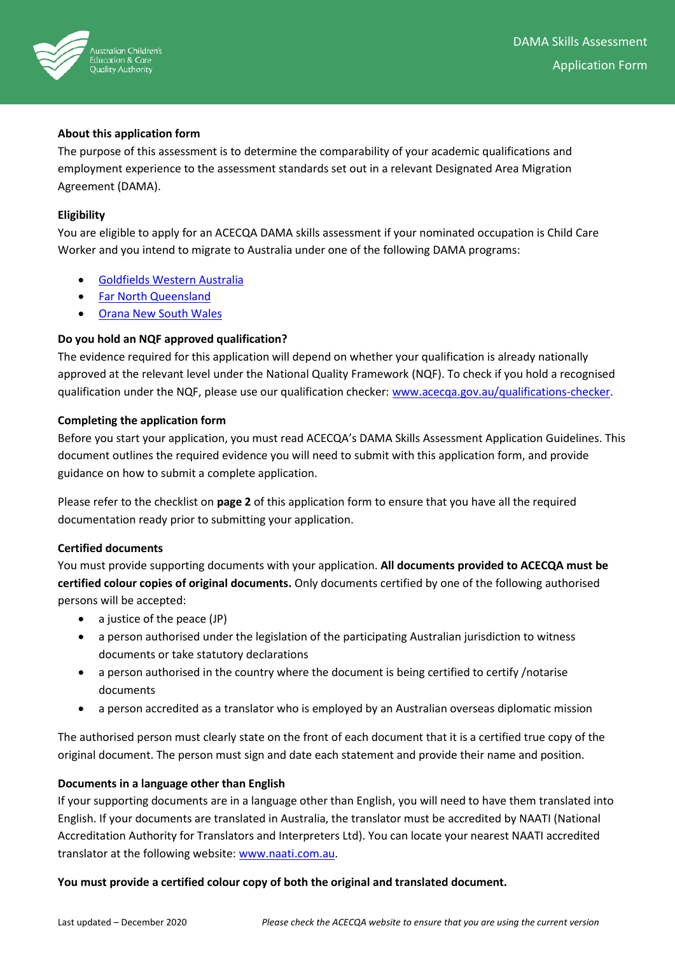

## **About this application form**

The purpose of this assessment is to determine the comparability of your academic qualifications and employment experience to the assessment standards set out in a relevant Designated Area Migration Agreement (DAMA).

## **Eligibility**

You are eligible to apply for an ACECQA DAMA skills assessment if your nominated occupation is Child Care Worker and you intend to migrate to Australia under one of the following DAMA programs:

- [Goldfields Western Australia](https://www.ckb.wa.gov.au/Doing-Business/Designated-Area-Migration-Agreement/DAMA-Overview)
- [Far North Queensland](https://www.cairnschamber.com.au/regional-migration/fnq-dama)
- [Orana](https://www.rdaorana.org.au/migration/dama/) New South Wales

## **Do you hold an NQF approved qualification?**

The evidence required for this application will depend on whether your qualification is already nationally approved at the relevant level under the National Quality Framework (NQF). To check if you hold a recognised qualification under the NQF, please use our qualification checker: [www.acecqa.gov.au/qualifications-checker.](http://www.acecqa.gov.au/qualifications-checker)

## **Completing the application form**

Before you start your application, you must read ACECQA's DAMA Skills Assessment Application Guidelines. This document outlines the required evidence you will need to submit with this application form, and provide guidance on how to submit a complete application.

Please refer to the checklist on **page 2** of this application form to ensure that you have all the required documentation ready prior to submitting your application.

## **Certified documents**

You must provide supporting documents with your application. **All documents provided to ACECQA must be certified colour copies of original documents.** Only documents certified by one of the following authorised persons will be accepted:

- a justice of the peace (JP)
- a person authorised under the legislation of the participating Australian jurisdiction to witness documents or take statutory declarations
- a person authorised in the country where the document is being certified to certify /notarise documents
- a person accredited as a translator who is employed by an Australian overseas diplomatic mission

The authorised person must clearly state on the front of each document that it is a certified true copy of the original document. The person must sign and date each statement and provide their name and position.

## **Documents in a language other than English**

If your supporting documents are in a language other than English, you will need to have them translated into English. If your documents are translated in Australia, the translator must be accredited by NAATI (National Accreditation Authority for Translators and Interpreters Ltd). You can locate your nearest NAATI accredited translator at the following website[: www.naati.com.au.](http://www.naati.com.au/)

## **You must provide a certified colour copy of both the original and translated document.**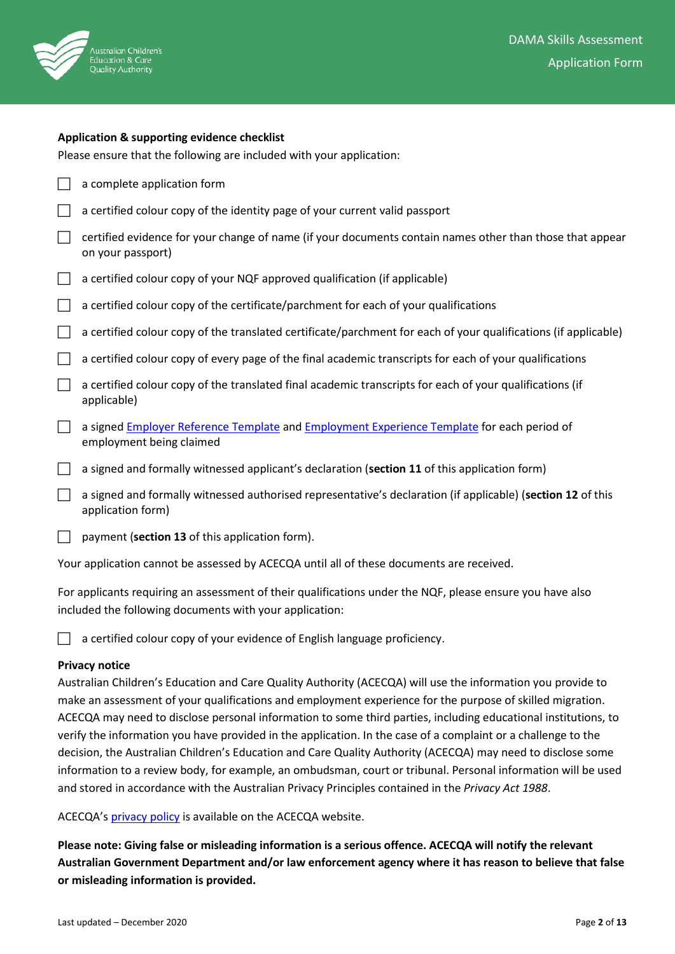

|                             | <b>Application &amp; supporting evidence checklist</b>                                                                           |
|-----------------------------|----------------------------------------------------------------------------------------------------------------------------------|
|                             | Please ensure that the following are included with your application:                                                             |
| <b>Contract</b>             | a complete application form                                                                                                      |
|                             | a certified colour copy of the identity page of your current valid passport                                                      |
|                             | certified evidence for your change of name (if your documents contain names other than those that appear<br>on your passport)    |
|                             | a certified colour copy of your NQF approved qualification (if applicable)                                                       |
|                             | a certified colour copy of the certificate/parchment for each of your qualifications                                             |
|                             | a certified colour copy of the translated certificate/parchment for each of your qualifications (if applicable)                  |
| M.                          | a certified colour copy of every page of the final academic transcripts for each of your qualifications                          |
| $\mathcal{L}_{\mathcal{A}}$ | a certified colour copy of the translated final academic transcripts for each of your qualifications (if<br>applicable)          |
|                             | a signed Employer Reference Template and Employment Experience Template for each period of<br>employment being claimed           |
|                             | a signed and formally witnessed applicant's declaration (section 11 of this application form)                                    |
|                             | a signed and formally witnessed authorised representative's declaration (if applicable) (section 12 of this<br>application form) |
|                             | payment (section 13 of this application form).                                                                                   |
|                             | Your application cannot be assessed by ACECQA until all of these documents are received.                                         |

For applicants requiring an assessment of their qualifications under the NQF, please ensure you have also included the following documents with your application:

a certified colour copy of your evidence of English language proficiency.

## **Privacy notice**

Australian Children's Education and Care Quality Authority (ACECQA) will use the information you provide to make an assessment of your qualifications and employment experience for the purpose of skilled migration. ACECQA may need to disclose personal information to some third parties, including educational institutions, to verify the information you have provided in the application. In the case of a complaint or a challenge to the decision, the Australian Children's Education and Care Quality Authority (ACECQA) may need to disclose some information to a review body, for example, an ombudsman, court or tribunal. Personal information will be used and stored in accordance with the Australian Privacy Principles contained in the *Privacy Act 1988*.

ACECQA's [privacy policy](http://www.acecqa.gov.au/privacy-policy) is available on the ACECQA website.

**Please note: Giving false or misleading information is a serious offence. ACECQA will notify the relevant Australian Government Department and/or law enforcement agency where it has reason to believe that false or misleading information is provided.**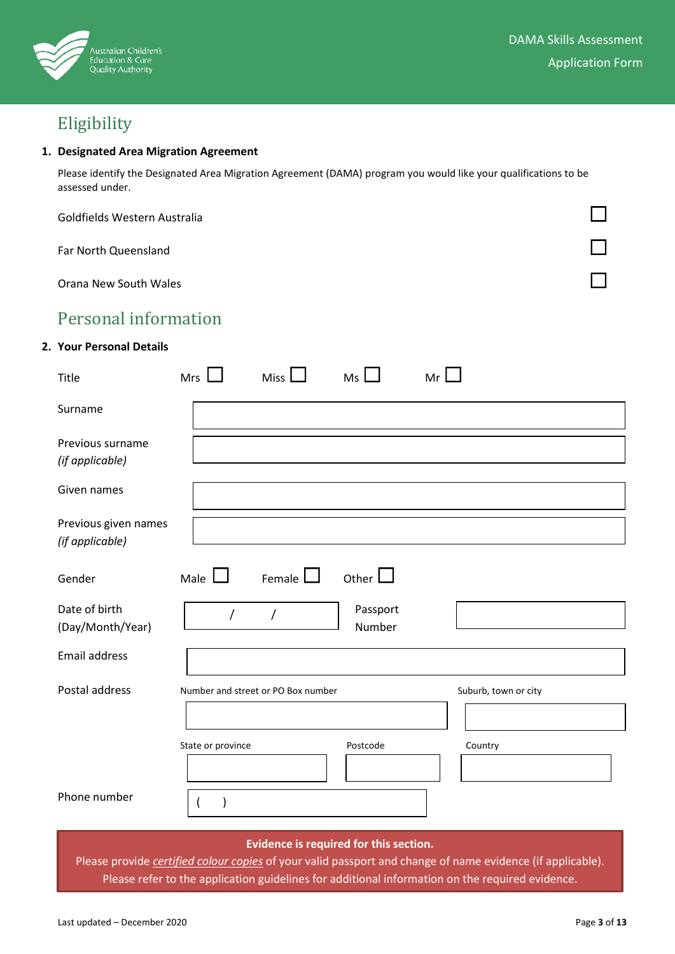

# Eligibility

### **1. Designated Area Migration Agreement**

Please identify the Designated Area Migration Agreement (DAMA) program you would like your qualifications to be assessed under.

| Goldfields Western Australia |  |
|------------------------------|--|
| Far North Queensland         |  |
| Orana New South Wales        |  |

## Personal information

## **2. Your Personal Details**

| Title                                                                                                                                                                  | $Mrs$ $\Box$      | Miss $\Box$                        | $Ms$ $\Box$        | Mr $\Box$ |                      |  |  |  |
|------------------------------------------------------------------------------------------------------------------------------------------------------------------------|-------------------|------------------------------------|--------------------|-----------|----------------------|--|--|--|
| Surname                                                                                                                                                                |                   |                                    |                    |           |                      |  |  |  |
| Previous surname<br>(if applicable)                                                                                                                                    |                   |                                    |                    |           |                      |  |  |  |
| Given names                                                                                                                                                            |                   |                                    |                    |           |                      |  |  |  |
| Previous given names<br>(if applicable)                                                                                                                                |                   |                                    |                    |           |                      |  |  |  |
| Gender                                                                                                                                                                 | Male $\Box$       | Female $\Box$                      | Other $\Box$       |           |                      |  |  |  |
| Date of birth<br>(Day/Month/Year)                                                                                                                                      | $\sqrt{ }$        | $\overline{1}$                     | Passport<br>Number |           |                      |  |  |  |
| <b>Email address</b>                                                                                                                                                   |                   |                                    |                    |           |                      |  |  |  |
| Postal address                                                                                                                                                         |                   | Number and street or PO Box number |                    |           | Suburb, town or city |  |  |  |
|                                                                                                                                                                        | State or province |                                    | Postcode           |           | Country              |  |  |  |
| Phone number                                                                                                                                                           | $\overline{ }$    |                                    |                    |           |                      |  |  |  |
| Evidence is required for this section.<br><b>Contractor</b><br><b>Contract Contract Contract</b><br><b>Contract Contract Contract</b><br><b>CONTRACTOR</b><br>$\cdots$ |                   |                                    |                    |           |                      |  |  |  |

Please provide *certified colour copies* of your valid passport and change of name evidence (if applicable). Please refer to the application guidelines for additional information on the required evidence.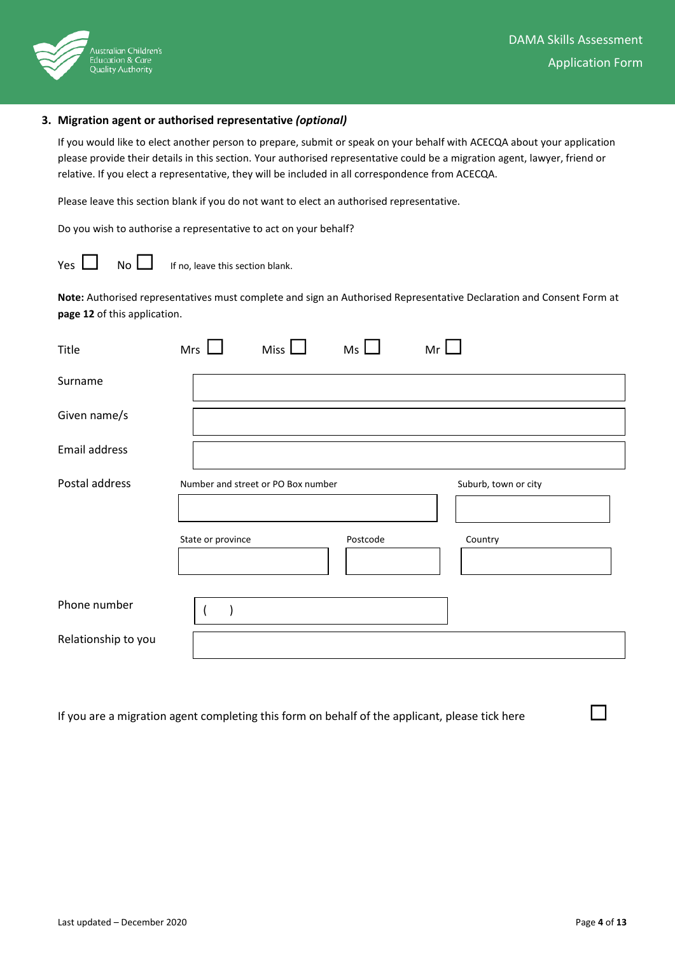

#### **3. Migration agent or authorised representative** *(optional)*

If you would like to elect another person to prepare, submit or speak on your behalf with ACECQA about your application please provide their details in this section. Your authorised representative could be a migration agent, lawyer, friend or relative. If you elect a representative, they will be included in all correspondence from ACECQA.

Please leave this section blank if you do not want to elect an authorised representative.

Do you wish to authorise a representative to act on your behalf?

 $\Box$  No  $\Box$  If no, leave this section blank.

**Note:** Authorised representatives must complete and sign an Authorised Representative Declaration and Consent Form at **page 12** of this application.

| Title               | Mrs               | Miss <sup>1</sup>                  | Ms       | Mr |                                 |
|---------------------|-------------------|------------------------------------|----------|----|---------------------------------|
| Surname             |                   |                                    |          |    |                                 |
| Given name/s        |                   |                                    |          |    |                                 |
| Email address       |                   |                                    |          |    |                                 |
| Postal address      | State or province | Number and street or PO Box number | Postcode |    | Suburb, town or city<br>Country |
| Phone number        |                   |                                    |          |    |                                 |
| Relationship to you |                   |                                    |          |    |                                 |

If you are a migration agent completing this form on behalf of the applicant, please tick here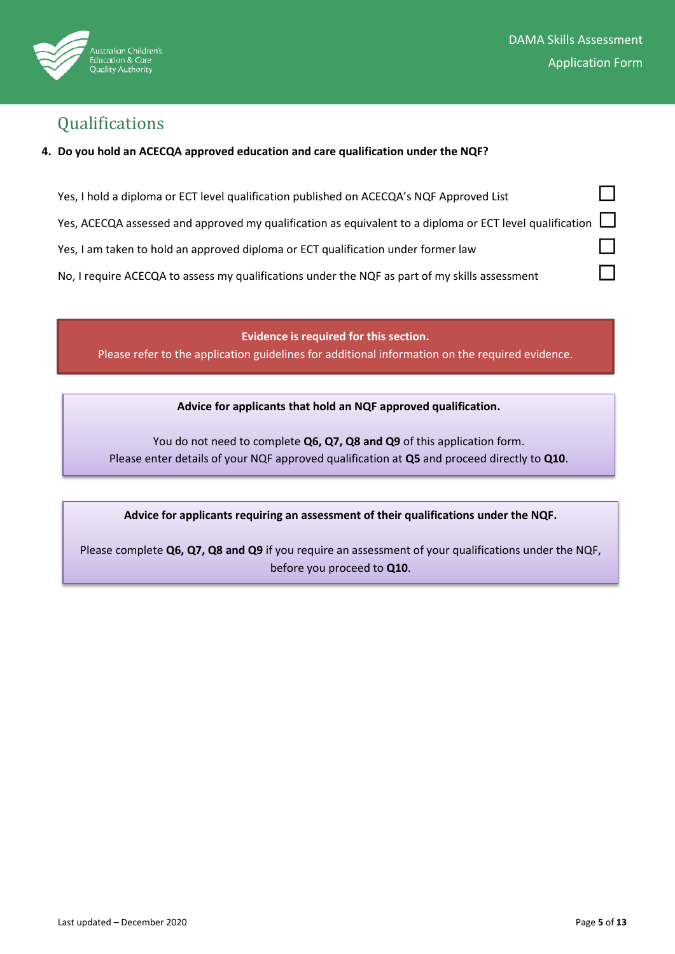

## Qualifications

## **4. Do you hold an ACECQA approved education and care qualification under the NQF?**

| Yes, I hold a diploma or ECT level qualification published on ACECQA's NQF Approved List                        |  |
|-----------------------------------------------------------------------------------------------------------------|--|
| Yes, ACECQA assessed and approved my qualification as equivalent to a diploma or ECT level qualification $\Box$ |  |
| Yes, I am taken to hold an approved diploma or ECT qualification under former law                               |  |
| No, I require ACECQA to assess my qualifications under the NQF as part of my skills assessment                  |  |

**Evidence is required for this section.**  Please refer to the application guidelines for additional information on the required evidence.

**Advice for applicants that hold an NQF approved qualification.** 

You do not need to complete **Q6, Q7, Q8 and Q9** of this application form. Please enter details of your NQF approved qualification at **Q5** and proceed directly to **Q10**.

## **Advice for applicants requiring an assessment of their qualifications under the NQF.**

Please complete **Q6, Q7, Q8 and Q9** if you require an assessment of your qualifications under the NQF, before you proceed to **Q10**.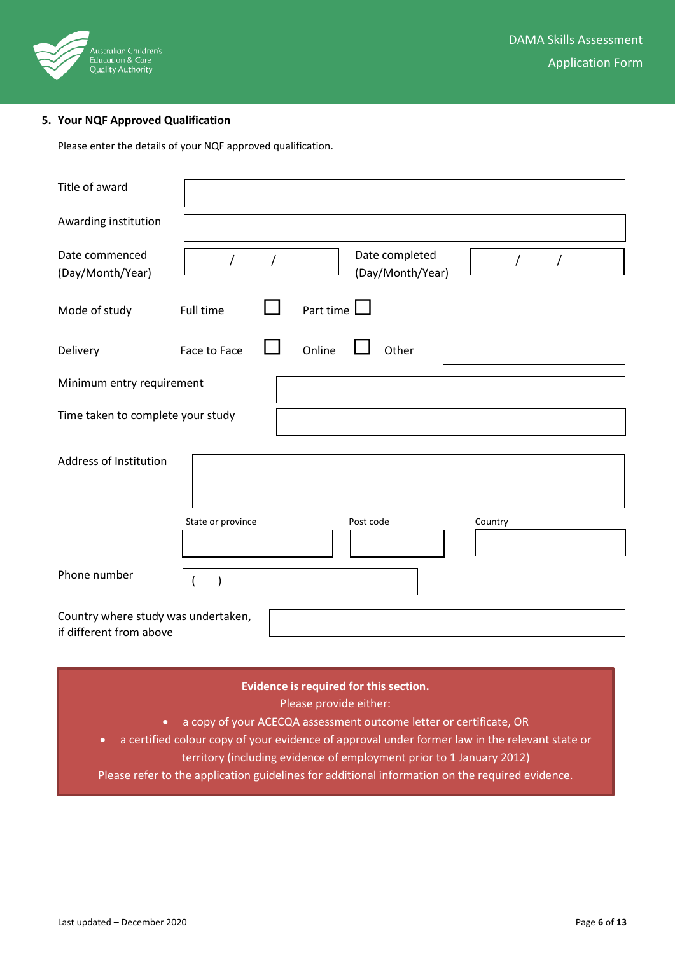

## **5. Your NQF Approved Qualification**

Please enter the details of your NQF approved qualification.

| Title of award                                                 |                   |   |           |                                    |          |  |  |
|----------------------------------------------------------------|-------------------|---|-----------|------------------------------------|----------|--|--|
| Awarding institution                                           |                   |   |           |                                    |          |  |  |
| Date commenced<br>(Day/Month/Year)                             | $\prime$          | 7 |           | Date completed<br>(Day/Month/Year) | $\prime$ |  |  |
| Mode of study                                                  | Full time         |   | Part time |                                    |          |  |  |
| Delivery                                                       | Face to Face      |   | Online    | Other                              |          |  |  |
| Minimum entry requirement                                      |                   |   |           |                                    |          |  |  |
| Time taken to complete your study                              |                   |   |           |                                    |          |  |  |
| Address of Institution                                         |                   |   |           |                                    |          |  |  |
|                                                                | State or province |   |           | Post code                          | Country  |  |  |
| Phone number                                                   |                   |   |           |                                    |          |  |  |
| Country where study was undertaken,<br>if different from above |                   |   |           |                                    |          |  |  |

## **Evidence is required for this section.**

Please provide either:

- a copy of your ACECQA assessment outcome letter or certificate, OR
- a certified colour copy of your evidence of approval under former law in the relevant state or
	- territory (including evidence of employment prior to 1 January 2012)

Please refer to the application guidelines for additional information on the required evidence.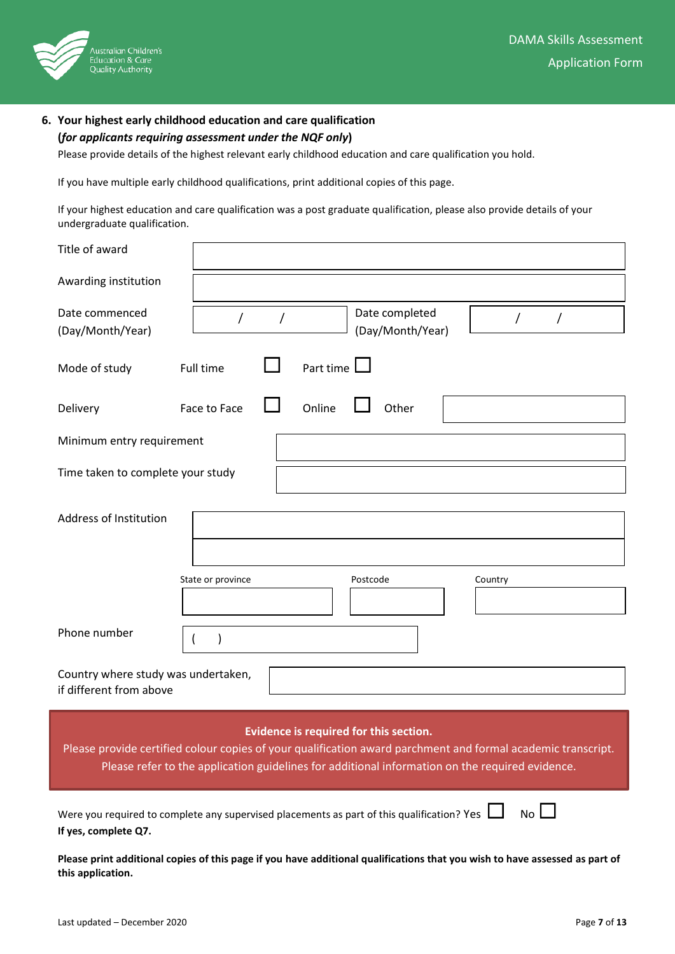

## **6. Your highest early childhood education and care qualification (***for applicants requiring assessment under the NQF only***)**

Please provide details of the highest relevant early childhood education and care qualification you hold.

If you have multiple early childhood qualifications, print additional copies of this page.

If your highest education and care qualification was a post graduate qualification, please also provide details of your undergraduate qualification.

| Title of award                                                                                                                                                                                                                                            |                   |           |                                    |         |  |  |  |
|-----------------------------------------------------------------------------------------------------------------------------------------------------------------------------------------------------------------------------------------------------------|-------------------|-----------|------------------------------------|---------|--|--|--|
| Awarding institution                                                                                                                                                                                                                                      |                   |           |                                    |         |  |  |  |
| Date commenced<br>(Day/Month/Year)                                                                                                                                                                                                                        | T                 | T         | Date completed<br>(Day/Month/Year) | T       |  |  |  |
| Mode of study                                                                                                                                                                                                                                             | Full time         | Part time |                                    |         |  |  |  |
| Delivery                                                                                                                                                                                                                                                  | Face to Face      | Online    | Other                              |         |  |  |  |
| Minimum entry requirement                                                                                                                                                                                                                                 |                   |           |                                    |         |  |  |  |
| Time taken to complete your study                                                                                                                                                                                                                         |                   |           |                                    |         |  |  |  |
| Address of Institution                                                                                                                                                                                                                                    | State or province |           | Postcode                           | Country |  |  |  |
| Phone number                                                                                                                                                                                                                                              |                   |           |                                    |         |  |  |  |
| Country where study was undertaken,<br>if different from above                                                                                                                                                                                            |                   |           |                                    |         |  |  |  |
| Evidence is required for this section.<br>Please provide certified colour copies of your qualification award parchment and formal academic transcript.<br>Please refer to the application guidelines for additional information on the required evidence. |                   |           |                                    |         |  |  |  |
| $No$ $\Box$<br>Were you required to complete any supervised placements as part of this qualification? Yes $\Box$<br>If yes, complete Q7.                                                                                                                  |                   |           |                                    |         |  |  |  |

**Please print additional copies of this page if you have additional qualifications that you wish to have assessed as part of this application.**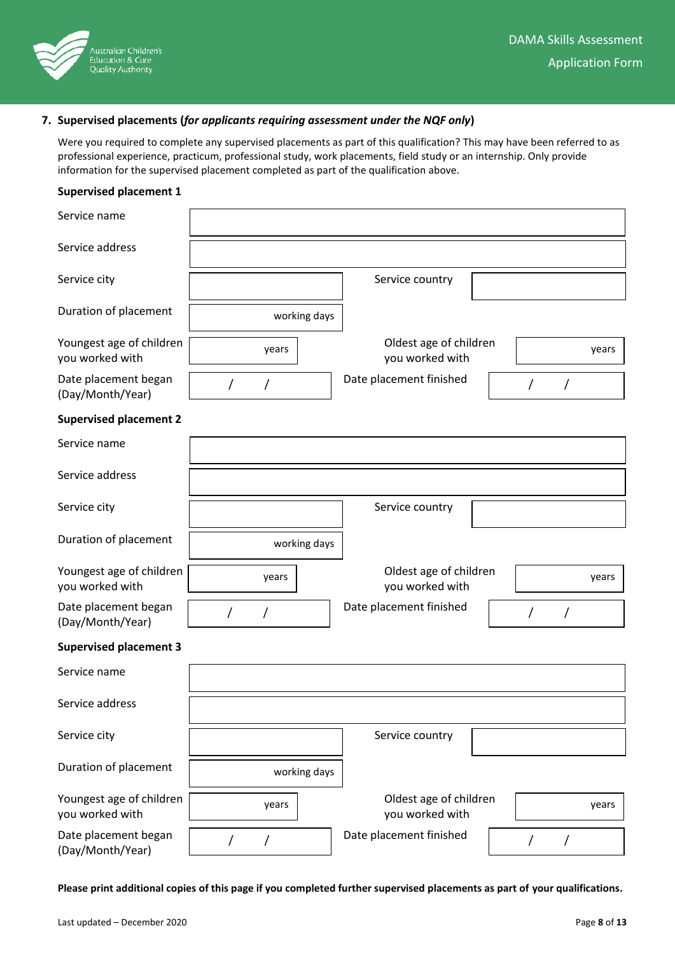

## **7. Supervised placements (***for applicants requiring assessment under the NQF only***)**

Were you required to complete any supervised placements as part of this qualification? This may have been referred to as professional experience, practicum, professional study, work placements, field study or an internship. Only provide information for the supervised placement completed as part of the qualification above.

### **Supervised placement 1**

| Service name                                |          |              |                                           |                 |            |   |       |
|---------------------------------------------|----------|--------------|-------------------------------------------|-----------------|------------|---|-------|
| Service address                             |          |              |                                           |                 |            |   |       |
| Service city                                |          |              | Service country                           |                 |            |   |       |
| Duration of placement                       |          | working days |                                           |                 |            |   |       |
| Youngest age of children<br>you worked with |          | years        | Oldest age of children<br>you worked with |                 |            |   | years |
| Date placement began<br>(Day/Month/Year)    | $\prime$ |              | Date placement finished                   | $\sqrt{2}$<br>Τ |            |   |       |
| <b>Supervised placement 2</b>               |          |              |                                           |                 |            |   |       |
| Service name                                |          |              |                                           |                 |            |   |       |
| Service address                             |          |              |                                           |                 |            |   |       |
| Service city                                |          |              | Service country                           |                 |            |   |       |
| Duration of placement                       |          | working days |                                           |                 |            |   |       |
| Youngest age of children<br>you worked with |          | years        | Oldest age of children<br>you worked with |                 |            |   | years |
| Date placement began<br>(Day/Month/Year)    | $\prime$ | Τ            | Date placement finished                   |                 | $\sqrt{2}$ | Τ |       |
| <b>Supervised placement 3</b>               |          |              |                                           |                 |            |   |       |
| Service name                                |          |              |                                           |                 |            |   |       |
| Service address                             |          |              |                                           |                 |            |   |       |
| Service city                                |          |              | Service country                           |                 |            |   |       |
| Duration of placement                       |          | working days |                                           |                 |            |   |       |
| Youngest age of children<br>you worked with |          | years        | Oldest age of children<br>you worked with |                 |            |   | years |
| Date placement began<br>(Day/Month/Year)    |          |              | Date placement finished                   |                 |            |   |       |

**Please print additional copies of this page if you completed further supervised placements as part of your qualifications.**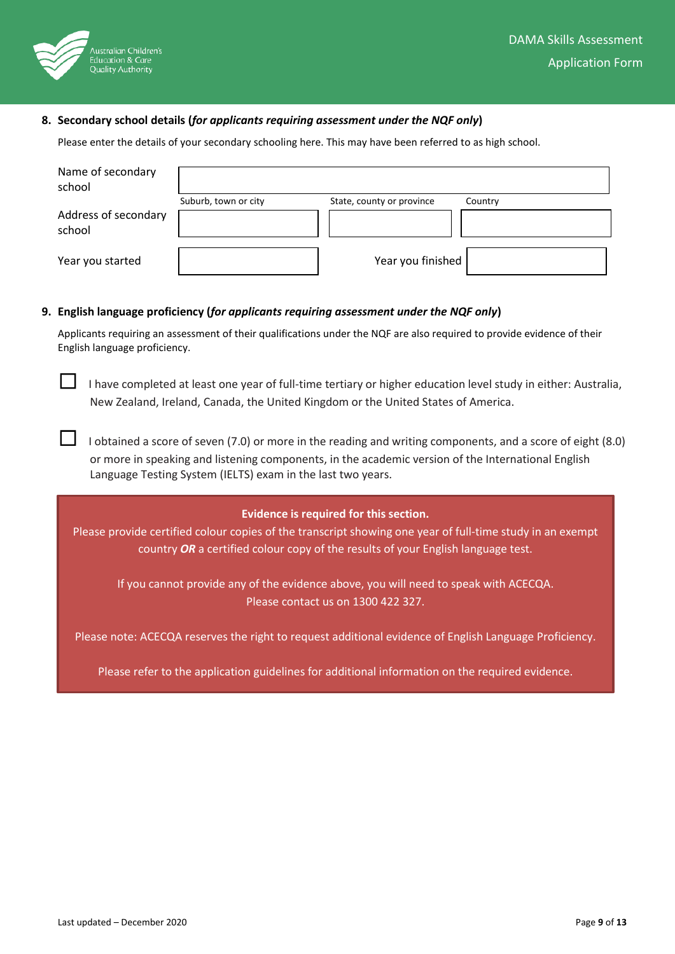

### **8. Secondary school details (***for applicants requiring assessment under the NQF only***)**

Please enter the details of your secondary schooling here. This may have been referred to as high school.

| Name of secondary<br>school    |                      |                           |         |
|--------------------------------|----------------------|---------------------------|---------|
|                                | Suburb, town or city | State, county or province | Country |
| Address of secondary<br>school |                      |                           |         |
| Year you started               |                      | Year you finished         |         |

#### **9. English language proficiency (***for applicants requiring assessment under the NQF only***)**

Applicants requiring an assessment of their qualifications under the NQF are also required to provide evidence of their English language proficiency.

 $\Box$  I have completed at least one year of full-time tertiary or higher education level study in either: Australia, New Zealand, Ireland, Canada, the United Kingdom or the United States of America.

 $\Box$  I obtained a score of seven (7.0) or more in the reading and writing components, and a score of eight (8.0) or more in speaking and listening components, in the academic version of the International English Language Testing System (IELTS) exam in the last two years.

#### **Evidence is required for this section.**

Please provide certified colour copies of the transcript showing one year of full-time study in an exempt country *OR* a certified colour copy of the results of your English language test.

If you cannot provide any of the evidence above, you will need to speak with ACECQA. Please contact us on 1300 422 327.

Please note: ACECQA reserves the right to request additional evidence of English Language Proficiency.

Please refer to the application guidelines for additional information on the required evidence.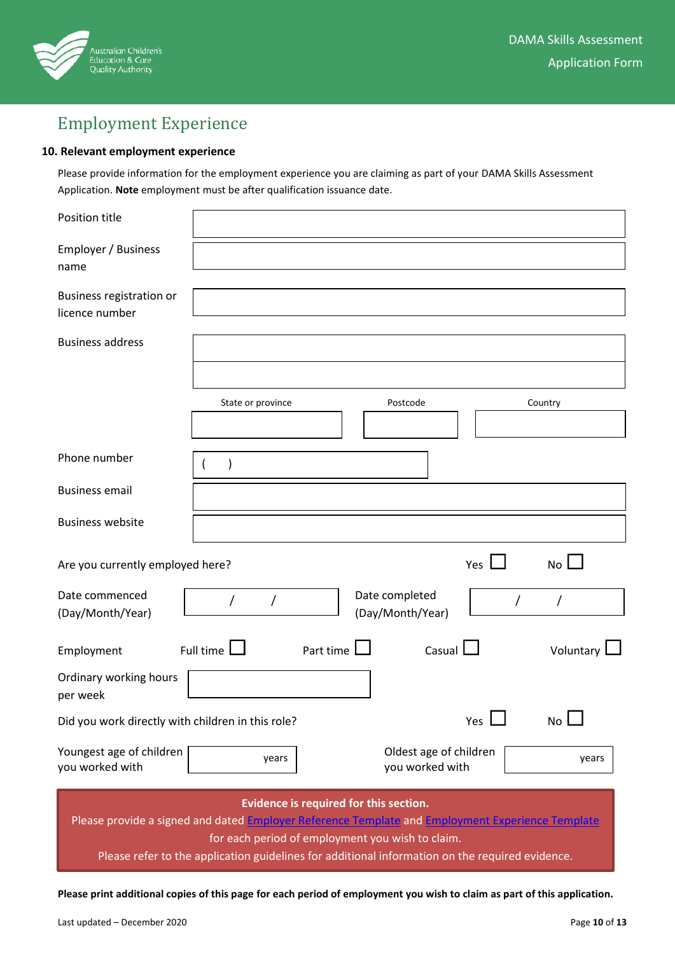

# Employment Experience

### **10. Relevant employment experience**

Please provide information for the employment experience you are claiming as part of your DAMA Skills Assessment Application. **Note** employment must be after qualification issuance date.

| Position title                                                                                                                                                                                 |                                                                                                 |           |                                           |            |  |             |  |
|------------------------------------------------------------------------------------------------------------------------------------------------------------------------------------------------|-------------------------------------------------------------------------------------------------|-----------|-------------------------------------------|------------|--|-------------|--|
| Employer / Business<br>name                                                                                                                                                                    |                                                                                                 |           |                                           |            |  |             |  |
| Business registration or<br>licence number                                                                                                                                                     |                                                                                                 |           |                                           |            |  |             |  |
|                                                                                                                                                                                                |                                                                                                 |           |                                           |            |  |             |  |
| <b>Business address</b>                                                                                                                                                                        |                                                                                                 |           |                                           |            |  |             |  |
|                                                                                                                                                                                                |                                                                                                 |           |                                           |            |  |             |  |
|                                                                                                                                                                                                | State or province                                                                               |           | Postcode                                  |            |  | Country     |  |
|                                                                                                                                                                                                |                                                                                                 |           |                                           |            |  |             |  |
| Phone number                                                                                                                                                                                   |                                                                                                 |           |                                           |            |  |             |  |
| <b>Business email</b>                                                                                                                                                                          |                                                                                                 |           |                                           |            |  |             |  |
| <b>Business website</b>                                                                                                                                                                        |                                                                                                 |           |                                           |            |  |             |  |
| Are you currently employed here?                                                                                                                                                               |                                                                                                 |           |                                           | Yes        |  | <b>No</b>   |  |
| Date commenced<br>(Day/Month/Year)                                                                                                                                                             | 7                                                                                               |           | Date completed<br>(Day/Month/Year)        |            |  |             |  |
| Employment                                                                                                                                                                                     | Full time $\Box$                                                                                | Part time |                                           | Casual I   |  | Voluntary   |  |
| Ordinary working hours<br>per week                                                                                                                                                             |                                                                                                 |           |                                           |            |  |             |  |
| Did you work directly with children in this role?                                                                                                                                              |                                                                                                 |           |                                           | Yes $\Box$ |  | $No$ $\Box$ |  |
| Youngest age of children<br>you worked with                                                                                                                                                    | years                                                                                           |           | Oldest age of children<br>you worked with |            |  | years       |  |
| Evidence is required for this section.<br>Please provide a signed and dated Employer Reference Template and Employment Experience Template<br>for each period of employment you wish to claim. |                                                                                                 |           |                                           |            |  |             |  |
|                                                                                                                                                                                                | Please refer to the application guidelines for additional information on the required evidence. |           |                                           |            |  |             |  |

**Please print additional copies of this page for each period of employment you wish to claim as part of this application.**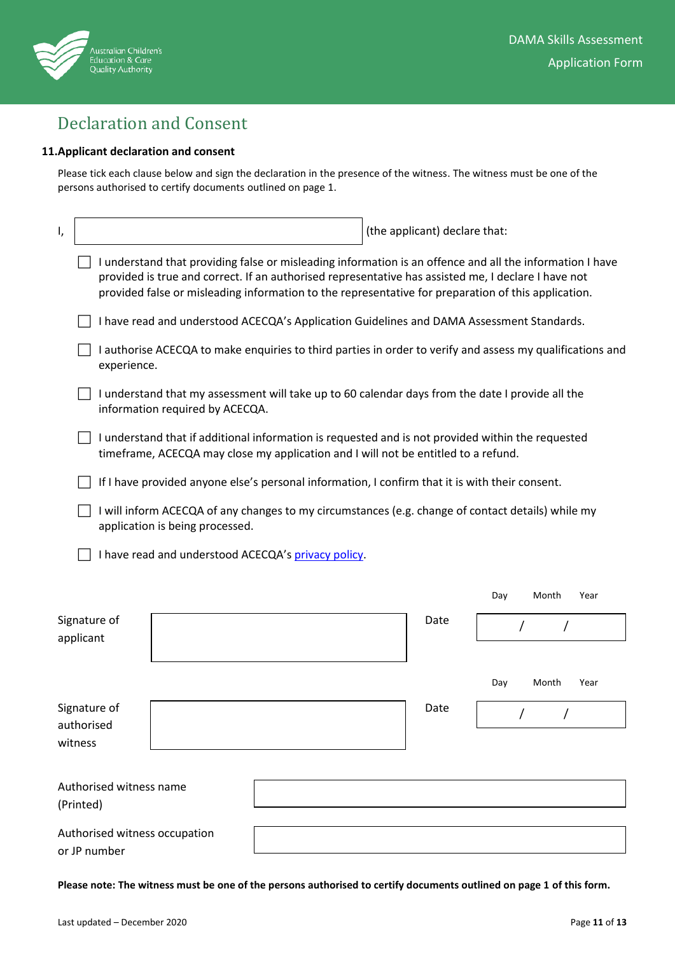

# Declaration and Consent

## **11.Applicant declaration and consent**

Please tick each clause below and sign the declaration in the presence of the witness. The witness must be one of the persons authorised to certify documents outlined on page 1.

| ١,                         |                                                                                                                                                                                         |                                                                                                                                                                                                                                                                                                                        |  |  |  | (the applicant) declare that: |     |       |      |
|----------------------------|-----------------------------------------------------------------------------------------------------------------------------------------------------------------------------------------|------------------------------------------------------------------------------------------------------------------------------------------------------------------------------------------------------------------------------------------------------------------------------------------------------------------------|--|--|--|-------------------------------|-----|-------|------|
|                            |                                                                                                                                                                                         | I understand that providing false or misleading information is an offence and all the information I have<br>provided is true and correct. If an authorised representative has assisted me, I declare I have not<br>provided false or misleading information to the representative for preparation of this application. |  |  |  |                               |     |       |      |
|                            |                                                                                                                                                                                         | I have read and understood ACECQA's Application Guidelines and DAMA Assessment Standards.                                                                                                                                                                                                                              |  |  |  |                               |     |       |      |
|                            | I authorise ACECQA to make enquiries to third parties in order to verify and assess my qualifications and<br>experience.                                                                |                                                                                                                                                                                                                                                                                                                        |  |  |  |                               |     |       |      |
|                            |                                                                                                                                                                                         | I understand that my assessment will take up to 60 calendar days from the date I provide all the<br>information required by ACECQA.                                                                                                                                                                                    |  |  |  |                               |     |       |      |
|                            | I understand that if additional information is requested and is not provided within the requested<br>timeframe, ACECQA may close my application and I will not be entitled to a refund. |                                                                                                                                                                                                                                                                                                                        |  |  |  |                               |     |       |      |
|                            |                                                                                                                                                                                         | If I have provided anyone else's personal information, I confirm that it is with their consent.                                                                                                                                                                                                                        |  |  |  |                               |     |       |      |
|                            |                                                                                                                                                                                         | I will inform ACECQA of any changes to my circumstances (e.g. change of contact details) while my<br>application is being processed.                                                                                                                                                                                   |  |  |  |                               |     |       |      |
|                            |                                                                                                                                                                                         | I have read and understood ACECQA's privacy policy.                                                                                                                                                                                                                                                                    |  |  |  |                               |     |       |      |
|                            |                                                                                                                                                                                         |                                                                                                                                                                                                                                                                                                                        |  |  |  |                               | Day | Month | Year |
| Signature of<br>applicant  |                                                                                                                                                                                         |                                                                                                                                                                                                                                                                                                                        |  |  |  | Date                          |     |       |      |
|                            |                                                                                                                                                                                         |                                                                                                                                                                                                                                                                                                                        |  |  |  |                               |     |       |      |
|                            |                                                                                                                                                                                         |                                                                                                                                                                                                                                                                                                                        |  |  |  |                               | Day | Month | Year |
| Signature of<br>authorised |                                                                                                                                                                                         |                                                                                                                                                                                                                                                                                                                        |  |  |  | Date                          |     |       |      |
| witness                    |                                                                                                                                                                                         |                                                                                                                                                                                                                                                                                                                        |  |  |  |                               |     |       |      |
|                            |                                                                                                                                                                                         |                                                                                                                                                                                                                                                                                                                        |  |  |  |                               |     |       |      |
| (Printed)                  | Authorised witness name                                                                                                                                                                 |                                                                                                                                                                                                                                                                                                                        |  |  |  |                               |     |       |      |
| or JP number               |                                                                                                                                                                                         | Authorised witness occupation                                                                                                                                                                                                                                                                                          |  |  |  |                               |     |       |      |

**Please note: The witness must be one of the persons authorised to certify documents outlined on page 1 of this form.**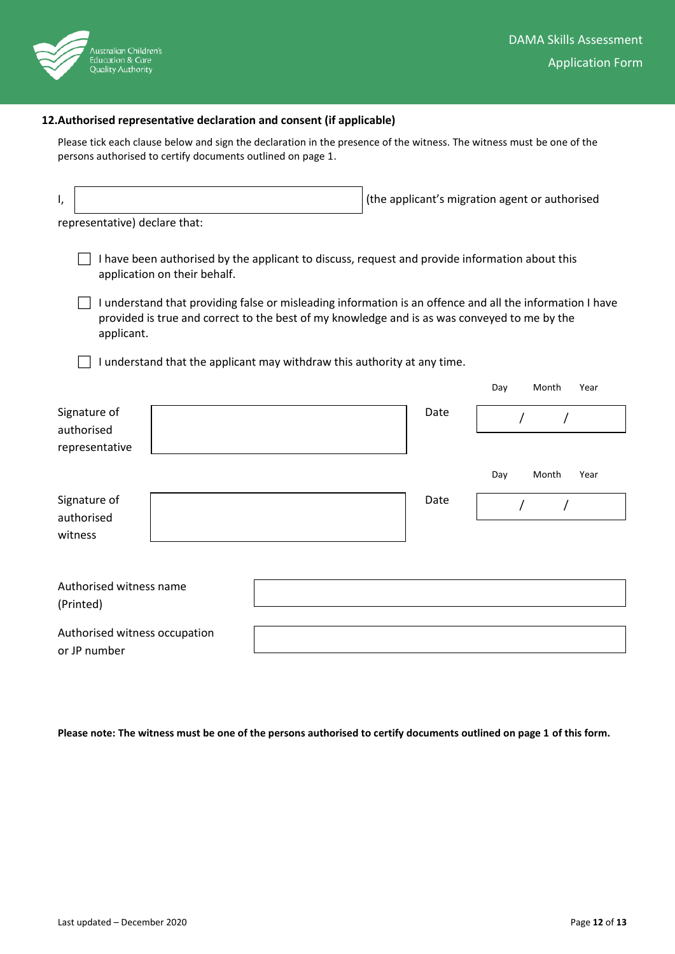

## **12.Authorised representative declaration and consent (if applicable)**

Please tick each clause below and sign the declaration in the presence of the witness. The witness must be one of the persons authorised to certify documents outlined on page 1.

| ۱,                                                                                                                                                                                                                     | (the applicant's migration agent or authorised |  |  |      |     |       |      |
|------------------------------------------------------------------------------------------------------------------------------------------------------------------------------------------------------------------------|------------------------------------------------|--|--|------|-----|-------|------|
| representative) declare that:                                                                                                                                                                                          |                                                |  |  |      |     |       |      |
| I have been authorised by the applicant to discuss, request and provide information about this<br>application on their behalf.                                                                                         |                                                |  |  |      |     |       |      |
| I understand that providing false or misleading information is an offence and all the information I have<br>provided is true and correct to the best of my knowledge and is as was conveyed to me by the<br>applicant. |                                                |  |  |      |     |       |      |
| I understand that the applicant may withdraw this authority at any time.                                                                                                                                               |                                                |  |  |      |     |       |      |
|                                                                                                                                                                                                                        |                                                |  |  |      | Day | Month | Year |
| Signature of<br>authorised                                                                                                                                                                                             |                                                |  |  | Date |     |       |      |
| representative                                                                                                                                                                                                         |                                                |  |  |      |     |       |      |
|                                                                                                                                                                                                                        |                                                |  |  |      | Day | Month | Year |
| Signature of<br>authorised                                                                                                                                                                                             |                                                |  |  | Date |     |       |      |
| witness                                                                                                                                                                                                                |                                                |  |  |      |     |       |      |
|                                                                                                                                                                                                                        |                                                |  |  |      |     |       |      |
| Authorised witness name<br>(Printed)                                                                                                                                                                                   |                                                |  |  |      |     |       |      |
| Authorised witness occupation<br>or JP number                                                                                                                                                                          |                                                |  |  |      |     |       |      |

**Please note: The witness must be one of the persons authorised to certify documents outlined on page 1 of this form.**